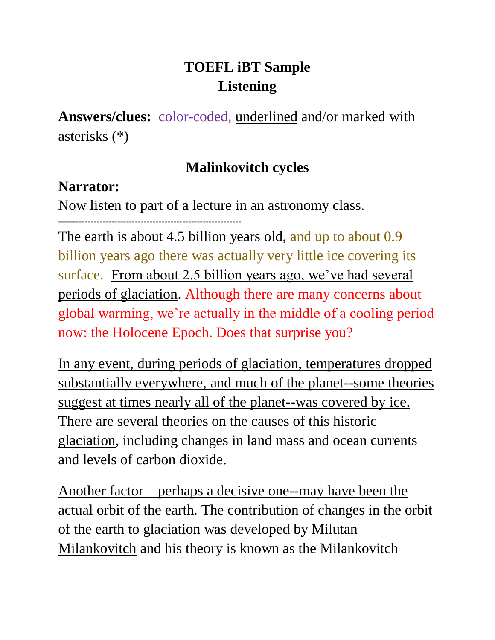# **TOEFL iBT Sample Listening**

**Answers/clues:** color-coded, underlined and/or marked with asterisks (\*)

## **Malinkovitch cycles**

## **Narrator:**

Now listen to part of a lecture in an astronomy class.

--------------------------------------------------------------

The earth is about 4.5 billion years old, and up to about 0.9 billion years ago there was actually very little ice covering its surface. From about 2.5 billion years ago, we've had several periods of glaciation. Although there are many concerns about global warming, we're actually in the middle of a cooling period now: the Holocene Epoch. Does that surprise you?

In any event, during periods of glaciation, temperatures dropped substantially everywhere, and much of the planet--some theories suggest at times nearly all of the planet--was covered by ice. There are several theories on the causes of this historic glaciation, including changes in land mass and ocean currents and levels of carbon dioxide.

Another factor—perhaps a decisive one--may have been the actual orbit of the earth. The contribution of changes in the orbit of the earth to glaciation was developed by Milutan Milankovitch and his theory is known as the Milankovitch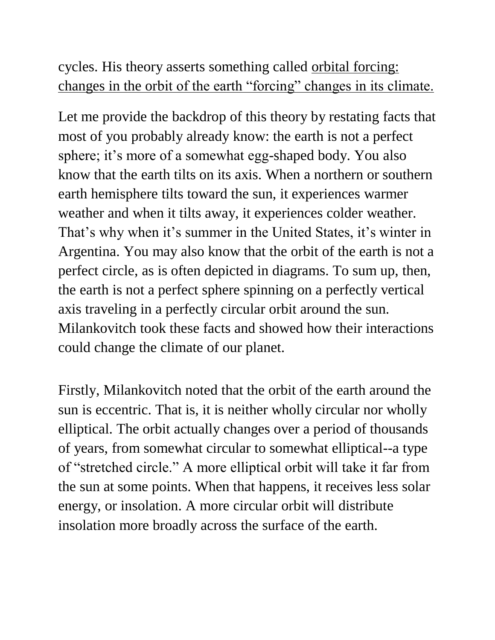# cycles. His theory asserts something called orbital forcing: changes in the orbit of the earth "forcing" changes in its climate.

Let me provide the backdrop of this theory by restating facts that most of you probably already know: the earth is not a perfect sphere; it's more of a somewhat egg-shaped body. You also know that the earth tilts on its axis. When a northern or southern earth hemisphere tilts toward the sun, it experiences warmer weather and when it tilts away, it experiences colder weather. That's why when it's summer in the United States, it's winter in Argentina. You may also know that the orbit of the earth is not a perfect circle, as is often depicted in diagrams. To sum up, then, the earth is not a perfect sphere spinning on a perfectly vertical axis traveling in a perfectly circular orbit around the sun. Milankovitch took these facts and showed how their interactions could change the climate of our planet.

Firstly, Milankovitch noted that the orbit of the earth around the sun is eccentric. That is, it is neither wholly circular nor wholly elliptical. The orbit actually changes over a period of thousands of years, from somewhat circular to somewhat elliptical--a type of "stretched circle." A more elliptical orbit will take it far from the sun at some points. When that happens, it receives less solar energy, or insolation. A more circular orbit will distribute insolation more broadly across the surface of the earth.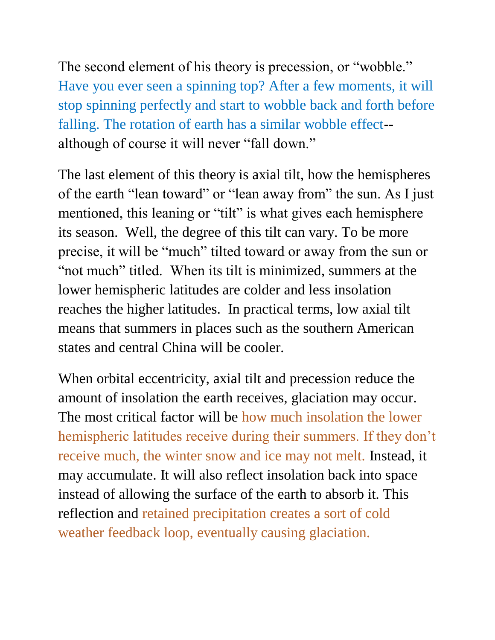The second element of his theory is precession, or "wobble." Have you ever seen a spinning top? After a few moments, it will stop spinning perfectly and start to wobble back and forth before falling. The rotation of earth has a similar wobble effect- although of course it will never "fall down."

The last element of this theory is axial tilt, how the hemispheres of the earth "lean toward" or "lean away from" the sun. As I just mentioned, this leaning or "tilt" is what gives each hemisphere its season. Well, the degree of this tilt can vary. To be more precise, it will be "much" tilted toward or away from the sun or "not much" titled. When its tilt is minimized, summers at the lower hemispheric latitudes are colder and less insolation reaches the higher latitudes. In practical terms, low axial tilt means that summers in places such as the southern American states and central China will be cooler.

When orbital eccentricity, axial tilt and precession reduce the amount of insolation the earth receives, glaciation may occur. The most critical factor will be how much insolation the lower hemispheric latitudes receive during their summers. If they don't receive much, the winter snow and ice may not melt. Instead, it may accumulate. It will also reflect insolation back into space instead of allowing the surface of the earth to absorb it. This reflection and retained precipitation creates a sort of cold weather feedback loop, eventually causing glaciation.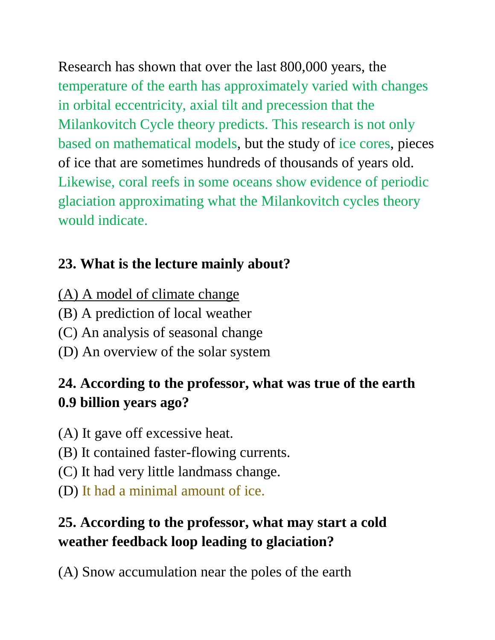Research has shown that over the last 800,000 years, the temperature of the earth has approximately varied with changes in orbital eccentricity, axial tilt and precession that the Milankovitch Cycle theory predicts. This research is not only based on mathematical models, but the study of ice cores, pieces of ice that are sometimes hundreds of thousands of years old. Likewise, coral reefs in some oceans show evidence of periodic glaciation approximating what the Milankovitch cycles theory would indicate.

# **23. What is the lecture mainly about?**

- (A) A model of climate change
- (B) A prediction of local weather
- (C) An analysis of seasonal change
- (D) An overview of the solar system

# **24. According to the professor, what was true of the earth 0.9 billion years ago?**

- (A) It gave off excessive heat.
- (B) It contained faster-flowing currents.
- (C) It had very little landmass change.
- (D) It had a minimal amount of ice.

# **25. According to the professor, what may start a cold weather feedback loop leading to glaciation?**

(A) Snow accumulation near the poles of the earth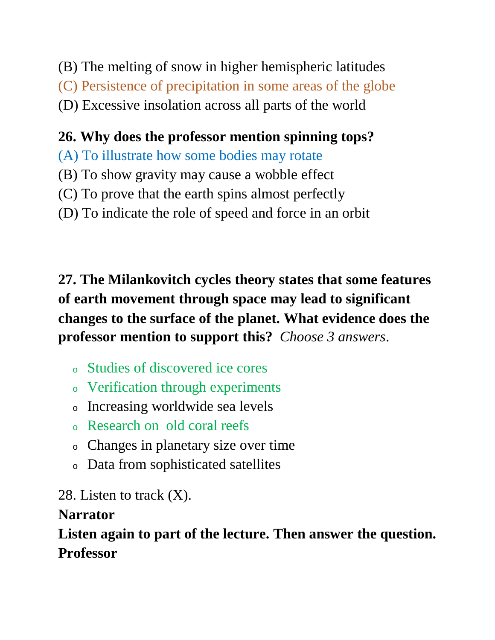- (B) The melting of snow in higher hemispheric latitudes
- (C) Persistence of precipitation in some areas of the globe
- (D) Excessive insolation across all parts of the world

## **26. Why does the professor mention spinning tops?**

- (A) To illustrate how some bodies may rotate
- (B) To show gravity may cause a wobble effect
- (C) To prove that the earth spins almost perfectly
- (D) To indicate the role of speed and force in an orbit

**27. The Milankovitch cycles theory states that some features of earth movement through space may lead to significant changes to the surface of the planet. What evidence does the professor mention to support this?** *Choose 3 answers*.

- <sup>o</sup> Studies of discovered ice cores
- <sup>o</sup> Verification through experiments
- <sup>o</sup> Increasing worldwide sea levels
- <sup>o</sup> Research on old coral reefs
- <sup>o</sup> Changes in planetary size over time
- <sup>o</sup> Data from sophisticated satellites

28. Listen to track  $(X)$ .

## **Narrator**

**Listen again to part of the lecture. Then answer the question. Professor**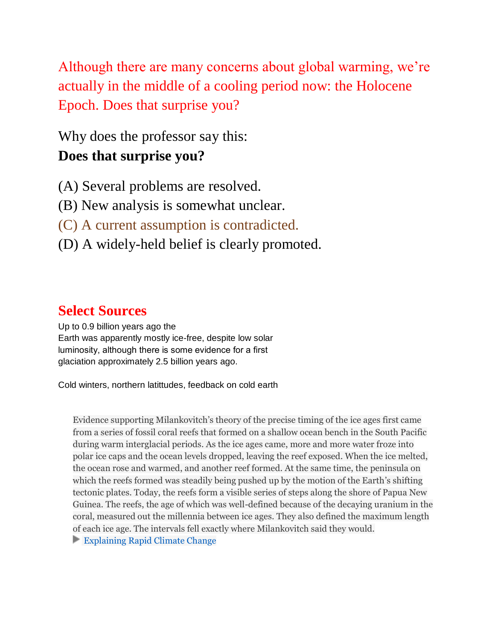Although there are many concerns about global warming, we're actually in the middle of a cooling period now: the Holocene Epoch. Does that surprise you?

Why does the professor say this:

### **Does that surprise you?**

- (A) Several problems are resolved.
- (B) New analysis is somewhat unclear.
- (C) A current assumption is contradicted.
- (D) A widely-held belief is clearly promoted.

### **Select Sources**

Up to 0.9 billion years ago the Earth was apparently mostly ice-free, despite low solar luminosity, although there is some evidence for a first glaciation approximately 2.5 billion years ago.

Cold winters, northern latittudes, feedback on cold earth

Evidence supporting Milankovitch's theory of the precise timing of the ice ages first came from a series of fossil coral reefs that formed on a shallow ocean bench in the South Pacific during warm interglacial periods. As the ice ages came, more and more water froze into polar ice caps and the ocean levels dropped, leaving the reef exposed. When the ice melted, the ocean rose and warmed, and another reef formed. At the same time, the peninsula on which the reefs formed was steadily being pushed up by the motion of the Earth's shifting tectonic plates. Today, the reefs form a visible series of steps along the shore of Papua New Guinea. The reefs, the age of which was well-defined because of the decaying uranium in the coral, measured out the millennia between ice ages. They also defined the maximum length of each ice age. The intervals fell exactly where Milankovitch said they would.

**[Explaining Rapid Climate Change](http://earthobservatory.nasa.gov/Features/Paleoclimatology_Evidence/paleoclimatology_evidence_2.php)**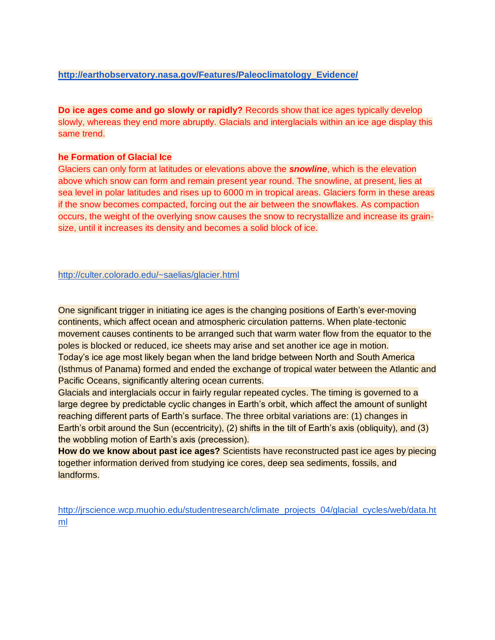#### **[http://earthobservatory.nasa.gov/Features/Paleoclimatology\\_Evidence/](http://earthobservatory.nasa.gov/Features/Paleoclimatology_Evidence/)**

**Do ice ages come and go slowly or rapidly?** Records show that ice ages typically develop slowly, whereas they end more abruptly. Glacials and interglacials within an ice age display this same trend.

#### **he Formation of Glacial Ice**

Glaciers can only form at latitudes or elevations above the *snowline*, which is the elevation above which snow can form and remain present year round. The snowline, at present, lies at sea level in polar latitudes and rises up to 6000 m in tropical areas. Glaciers form in these areas if the snow becomes compacted, forcing out the air between the snowflakes. As compaction occurs, the weight of the overlying snow causes the snow to recrystallize and increase its grainsize, until it increases its density and becomes a solid block of ice.

<http://culter.colorado.edu/~saelias/glacier.html>

One significant trigger in initiating ice ages is the changing positions of Earth's ever-moving continents, which affect ocean and atmospheric circulation patterns. When plate-tectonic movement causes continents to be arranged such that warm water flow from the equator to the poles is blocked or reduced, ice sheets may arise and set another ice age in motion. Today's ice age most likely began when the land bridge between North and South America (Isthmus of Panama) formed and ended the exchange of tropical water between the Atlantic and Pacific Oceans, significantly altering ocean currents.

Glacials and interglacials occur in fairly regular repeated cycles. The timing is governed to a large degree by predictable cyclic changes in Earth's orbit, which affect the amount of sunlight reaching different parts of Earth's surface. The three orbital variations are: (1) changes in Earth's orbit around the Sun (eccentricity), (2) shifts in the tilt of Earth's axis (obliquity), and (3) the wobbling motion of Earth's axis (precession).

**How do we know about past ice ages?** Scientists have reconstructed past ice ages by piecing together information derived from studying ice cores, deep sea sediments, fossils, and landforms.

[http://jrscience.wcp.muohio.edu/studentresearch/climate\\_projects\\_04/glacial\\_cycles/web/data.ht](http://jrscience.wcp.muohio.edu/studentresearch/climate_projects_04/glacial_cycles/web/data.html) [ml](http://jrscience.wcp.muohio.edu/studentresearch/climate_projects_04/glacial_cycles/web/data.html)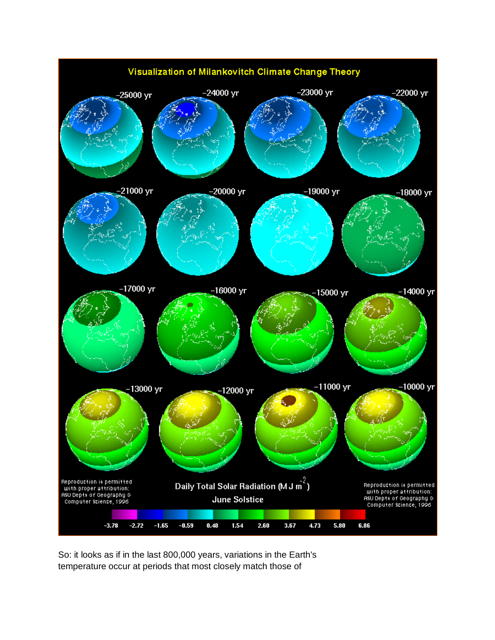

So: it looks as if in the last 800,000 years, variations in the Earth's temperature occur at periods that most closely match those of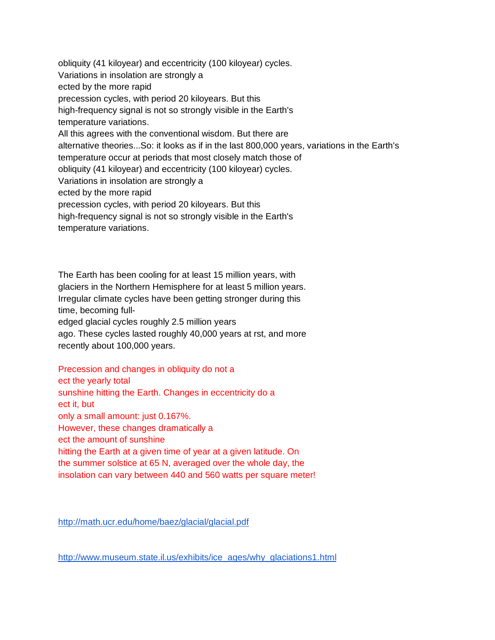obliquity (41 kiloyear) and eccentricity (100 kiloyear) cycles. Variations in insolation are strongly a ected by the more rapid precession cycles, with period 20 kiloyears. But this high-frequency signal is not so strongly visible in the Earth's temperature variations. All this agrees with the conventional wisdom. But there are alternative theories...So: it looks as if in the last 800,000 years, variations in the Earth's temperature occur at periods that most closely match those of obliquity (41 kiloyear) and eccentricity (100 kiloyear) cycles. Variations in insolation are strongly a ected by the more rapid precession cycles, with period 20 kiloyears. But this high-frequency signal is not so strongly visible in the Earth's temperature variations.

The Earth has been cooling for at least 15 million years, with glaciers in the Northern Hemisphere for at least 5 million years. Irregular climate cycles have been getting stronger during this time, becoming fulledged glacial cycles roughly 2.5 million years ago. These cycles lasted roughly 40,000 years at rst, and more recently about 100,000 years.

Precession and changes in obliquity do not a ect the yearly total sunshine hitting the Earth. Changes in eccentricity do a ect it, but only a small amount: just 0.167%. However, these changes dramatically a ect the amount of sunshine hitting the Earth at a given time of year at a given latitude. On the summer solstice at 65 N, averaged over the whole day, the insolation can vary between 440 and 560 watts per square meter!

<http://math.ucr.edu/home/baez/glacial/glacial.pdf>

[http://www.museum.state.il.us/exhibits/ice\\_ages/why\\_glaciations1.html](http://www.museum.state.il.us/exhibits/ice_ages/why_glaciations1.html)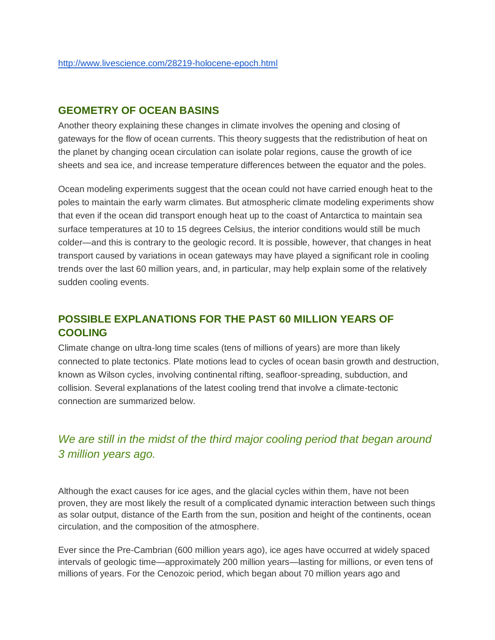### **GEOMETRY OF OCEAN BASINS**

Another theory explaining these changes in climate involves the opening and closing of gateways for the flow of ocean currents. This theory suggests that the redistribution of heat on the planet by changing ocean circulation can isolate polar regions, cause the growth of ice sheets and sea ice, and increase temperature differences between the equator and the poles.

Ocean modeling experiments suggest that the ocean could not have carried enough heat to the poles to maintain the early warm climates. But atmospheric climate modeling experiments show that even if the ocean did transport enough heat up to the coast of Antarctica to maintain sea surface temperatures at 10 to 15 degrees Celsius, the interior conditions would still be much colder—and this is contrary to the geologic record. It is possible, however, that changes in heat transport caused by variations in ocean gateways may have played a significant role in cooling trends over the last 60 million years, and, in particular, may help explain some of the relatively sudden cooling events.

### **POSSIBLE EXPLANATIONS FOR THE PAST 60 MILLION YEARS OF COOLING**

Climate change on ultra-long time scales (tens of millions of years) are more than likely connected to plate tectonics. Plate motions lead to cycles of ocean basin growth and destruction, known as Wilson cycles, involving continental rifting, seafloor-spreading, subduction, and collision. Several explanations of the latest cooling trend that involve a climate-tectonic connection are summarized below.

### *We are still in the midst of the third major cooling period that began around 3 million years ago.*

Although the exact causes for ice ages, and the glacial cycles within them, have not been proven, they are most likely the result of a complicated dynamic interaction between such things as solar output, distance of the Earth from the sun, position and height of the continents, ocean circulation, and the composition of the atmosphere.

Ever since the Pre-Cambrian (600 million years ago), ice ages have occurred at widely spaced intervals of geologic time—approximately 200 million years—lasting for millions, or even tens of millions of years. For the Cenozoic period, which began about 70 million years ago and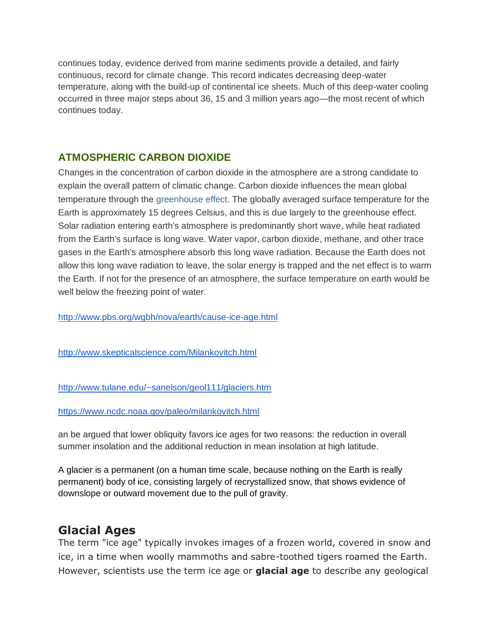continues today, evidence derived from marine sediments provide a detailed, and fairly continuous, record for climate change. This record indicates decreasing deep-water temperature, along with the build-up of continental ice sheets. Much of this deep-water cooling occurred in three major steps about 36, 15 and 3 million years ago—the most recent of which continues today.

### **ATMOSPHERIC CARBON DIOXIDE**

Changes in the concentration of carbon dioxide in the atmosphere are a strong candidate to explain the overall pattern of climatic change. Carbon dioxide influences the mean global temperature through the [greenhouse effect.](http://www.pbs.org/wgbh/nova/ice/greenhouse.html) The globally averaged surface temperature for the Earth is approximately 15 degrees Celsius, and this is due largely to the greenhouse effect. Solar radiation entering earth's atmosphere is predominantly short wave, while heat radiated from the Earth's surface is long wave. Water vapor, carbon dioxide, methane, and other trace gases in the Earth's atmosphere absorb this long wave radiation. Because the Earth does not allow this long wave radiation to leave, the solar energy is trapped and the net effect is to warm the Earth. If not for the presence of an atmosphere, the surface temperature on earth would be well below the freezing point of water.

<http://www.pbs.org/wgbh/nova/earth/cause-ice-age.html>

<http://www.skepticalscience.com/Milankovitch.html>

#### <http://www.tulane.edu/~sanelson/geol111/glaciers.htm>

<https://www.ncdc.noaa.gov/paleo/milankovitch.html>

an be argued that lower obliquity favors ice ages for two reasons: the reduction in overall summer insolation and the additional reduction in mean insolation at high latitude.

A glacier is a permanent (on a human time scale, because nothing on the Earth is really permanent) body of ice, consisting largely of recrystallized snow, that shows evidence of downslope or outward movement due to the pull of gravity.

### **Glacial Ages**

The term "ice age" typically invokes images of a frozen world, covered in snow and ice, in a time when woolly mammoths and sabre-toothed tigers roamed the Earth. However, scientists use the term ice age or **glacial age** to describe any geological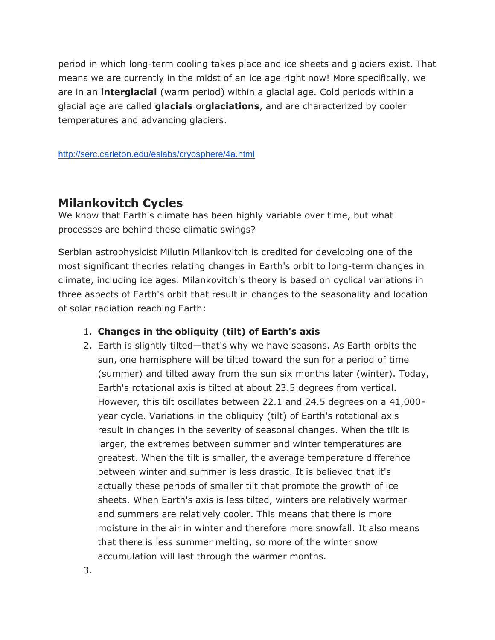period in which long-term cooling takes place and ice sheets and glaciers exist. That means we are currently in the midst of an ice age right now! More specifically, we are in an **interglacial** (warm period) within a glacial age. Cold periods within a glacial age are called **glacials** or**glaciations**, and are characterized by cooler temperatures and advancing glaciers.

#### <http://serc.carleton.edu/eslabs/cryosphere/4a.html>

### **Milankovitch Cycles**

We know that Earth's climate has been highly variable over time, but what processes are behind these climatic swings?

Serbian astrophysicist Milutin Milankovitch is credited for developing one of the most significant theories relating changes in Earth's orbit to long-term changes in climate, including ice ages. Milankovitch's theory is based on cyclical variations in three aspects of Earth's orbit that result in changes to the seasonality and location of solar radiation reaching Earth:

### 1. **Changes in the obliquity (tilt) of Earth's axis**

2. Earth is slightly tilted—that's why we have seasons. As Earth orbits the sun, one hemisphere will be tilted toward the sun for a period of time (summer) and tilted away from the sun six months later (winter). Today, Earth's rotational axis is tilted at about 23.5 degrees from vertical. However, this tilt oscillates between 22.1 and 24.5 degrees on a 41,000 year cycle. Variations in the obliquity (tilt) of Earth's rotational axis result in changes in the severity of seasonal changes. When the tilt is larger, the extremes between summer and winter temperatures are greatest. When the tilt is smaller, the average temperature difference between winter and summer is less drastic. It is believed that it's actually these periods of smaller tilt that promote the growth of ice sheets. When Earth's axis is less tilted, winters are relatively warmer and summers are relatively cooler. This means that there is more moisture in the air in winter and therefore more snowfall. It also means that there is less summer melting, so more of the winter snow accumulation will last through the warmer months.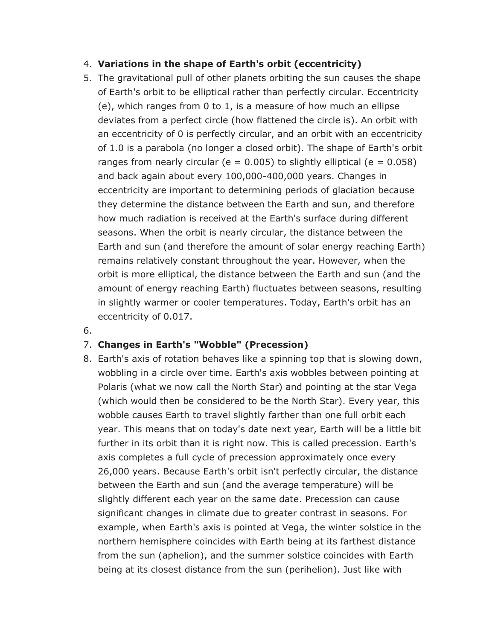### 4. **Variations in the shape of Earth's orbit (eccentricity)**

- 5. The gravitational pull of other planets orbiting the sun causes the shape of Earth's orbit to be elliptical rather than perfectly circular. Eccentricity (e), which ranges from 0 to 1, is a measure of how much an ellipse deviates from a perfect circle (how flattened the circle is). An orbit with an eccentricity of 0 is perfectly circular, and an orbit with an eccentricity of 1.0 is a parabola (no longer a closed orbit). The shape of Earth's orbit ranges from nearly circular ( $e = 0.005$ ) to slightly elliptical ( $e = 0.058$ ) and back again about every 100,000-400,000 years. Changes in eccentricity are important to determining periods of glaciation because they determine the distance between the Earth and sun, and therefore how much radiation is received at the Earth's surface during different seasons. When the orbit is nearly circular, the distance between the Earth and sun (and therefore the amount of solar energy reaching Earth) remains relatively constant throughout the year. However, when the orbit is more elliptical, the distance between the Earth and sun (and the amount of energy reaching Earth) fluctuates between seasons, resulting in slightly warmer or cooler temperatures. Today, Earth's orbit has an eccentricity of 0.017.
- 6.

### 7. **Changes in Earth's "Wobble" (Precession)**

8. Earth's axis of rotation behaves like a spinning top that is slowing down, wobbling in a circle over time. Earth's axis wobbles between pointing at Polaris (what we now call the North Star) and pointing at the star Vega (which would then be considered to be the North Star). Every year, this wobble causes Earth to travel slightly farther than one full orbit each year. This means that on today's date next year, Earth will be a little bit further in its orbit than it is right now. This is called precession. Earth's axis completes a full cycle of precession approximately once every 26,000 years. Because Earth's orbit isn't perfectly circular, the distance between the Earth and sun (and the average temperature) will be slightly different each year on the same date. Precession can cause significant changes in climate due to greater contrast in seasons. For example, when Earth's axis is pointed at Vega, the winter solstice in the northern hemisphere coincides with Earth being at its farthest distance from the sun (aphelion), and the summer solstice coincides with Earth being at its closest distance from the sun (perihelion). Just like with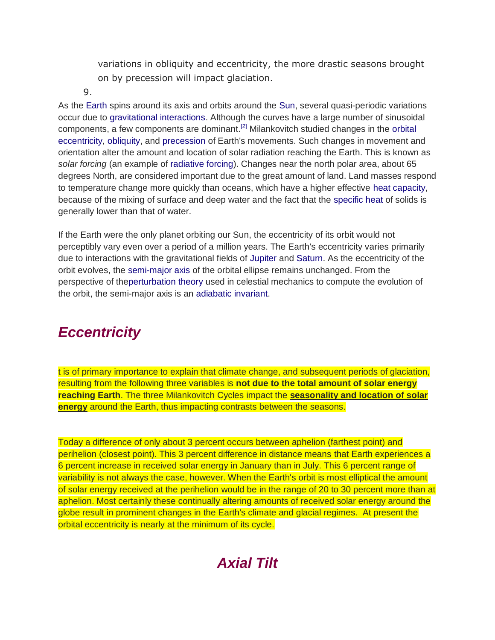variations in obliquity and eccentricity, the more drastic seasons brought on by precession will impact glaciation.

9.

As the [Earth](http://en.wikipedia.org/wiki/Earth) spins around its axis and orbits around the [Sun,](http://en.wikipedia.org/wiki/Sun) several quasi-periodic variations occur due to [gravitational interactions.](http://en.wikipedia.org/wiki/Perturbation_(astronomy)) Although the curves have a large number of sinusoidal components, a few components are dominant.<sup>[\[2\]](http://en.wikipedia.org/wiki/Milankovitch_cycles#cite_note-2)</sup> Milankovitch studied changes in the orbital [eccentricity,](http://en.wikipedia.org/wiki/Orbital_eccentricity) [obliquity,](http://en.wikipedia.org/wiki/Obliquity) and [precession](http://en.wikipedia.org/wiki/Precession_(astronomy)) of Earth's movements. Such changes in movement and orientation alter the amount and location of solar radiation reaching the Earth. This is known as *solar forcing* (an example of [radiative forcing\)](http://en.wikipedia.org/wiki/Radiative_forcing). Changes near the north polar area, about 65 degrees North, are considered important due to the great amount of land. Land masses respond to temperature change more quickly than oceans, which have a higher effective [heat capacity,](http://en.wikipedia.org/wiki/Heat_capacity) because of the mixing of surface and deep water and the fact that the [specific heat](http://en.wikipedia.org/wiki/Specific_heat) of solids is generally lower than that of water.

If the Earth were the only planet orbiting our Sun, the eccentricity of its orbit would not perceptibly vary even over a period of a million years. The Earth's eccentricity varies primarily due to interactions with the gravitational fields of [Jupiter](http://en.wikipedia.org/wiki/Jupiter) and [Saturn.](http://en.wikipedia.org/wiki/Saturn) As the eccentricity of the orbit evolves, the [semi-major axis](http://en.wikipedia.org/wiki/Semi-major_axis) of the orbital ellipse remains unchanged. From the perspective of th[eperturbation theory](http://en.wikipedia.org/wiki/Perturbation_(astronomy)) used in celestial mechanics to compute the evolution of the orbit, the semi-major axis is an [adiabatic invariant.](http://en.wikipedia.org/wiki/Adiabatic_invariant)

## *Eccentricity*

t is of primary importance to explain that climate change, and subsequent periods of glaciation, resulting from the following three variables is **not due to the total amount of solar energy reaching Earth**. The three Milankovitch Cycles impact the **seasonality and location of solar energy** around the Earth, thus impacting contrasts between the seasons.

Today a difference of only about 3 percent occurs between aphelion (farthest point) and perihelion (closest point). This 3 percent difference in distance means that Earth experiences a 6 percent increase in received solar energy in January than in July. This 6 percent range of variability is not always the case, however. When the Earth's orbit is most elliptical the amount of solar energy received at the perihelion would be in the range of 20 to 30 percent more than at aphelion. Most certainly these continually altering amounts of received solar energy around the globe result in prominent changes in the Earth's climate and glacial regimes. At present the orbital eccentricity is nearly at the minimum of its cycle.

## *Axial Tilt*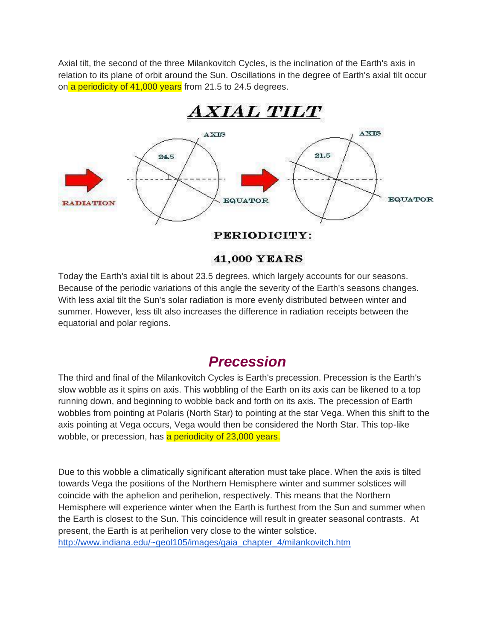Axial tilt, the second of the three Milankovitch Cycles, is the inclination of the Earth's axis in relation to its plane of orbit around the Sun. Oscillations in the degree of Earth's axial tilt occur on a periodicity of 41,000 years from 21.5 to 24.5 degrees.



### 41,000 YEARS

Today the Earth's axial tilt is about 23.5 degrees, which largely accounts for our seasons. Because of the periodic variations of this angle the severity of the Earth's seasons changes. With less axial tilt the Sun's solar radiation is more evenly distributed between winter and summer. However, less tilt also increases the difference in radiation receipts between the equatorial and polar regions.

### *Precession*

The third and final of the Milankovitch Cycles is Earth's precession. Precession is the Earth's slow wobble as it spins on axis. This wobbling of the Earth on its axis can be likened to a top running down, and beginning to wobble back and forth on its axis. The precession of Earth wobbles from pointing at Polaris (North Star) to pointing at the star Vega. When this shift to the axis pointing at Vega occurs, Vega would then be considered the North Star. This top-like wobble, or precession, has a periodicity of 23,000 years.

Due to this wobble a climatically significant alteration must take place. When the axis is tilted towards Vega the positions of the Northern Hemisphere winter and summer solstices will coincide with the aphelion and perihelion, respectively. This means that the Northern Hemisphere will experience winter when the Earth is furthest from the Sun and summer when the Earth is closest to the Sun. This coincidence will result in greater seasonal contrasts. At present, the Earth is at perihelion very close to the winter solstice. [http://www.indiana.edu/~geol105/images/gaia\\_chapter\\_4/milankovitch.htm](http://www.indiana.edu/~geol105/images/gaia_chapter_4/milankovitch.htm)